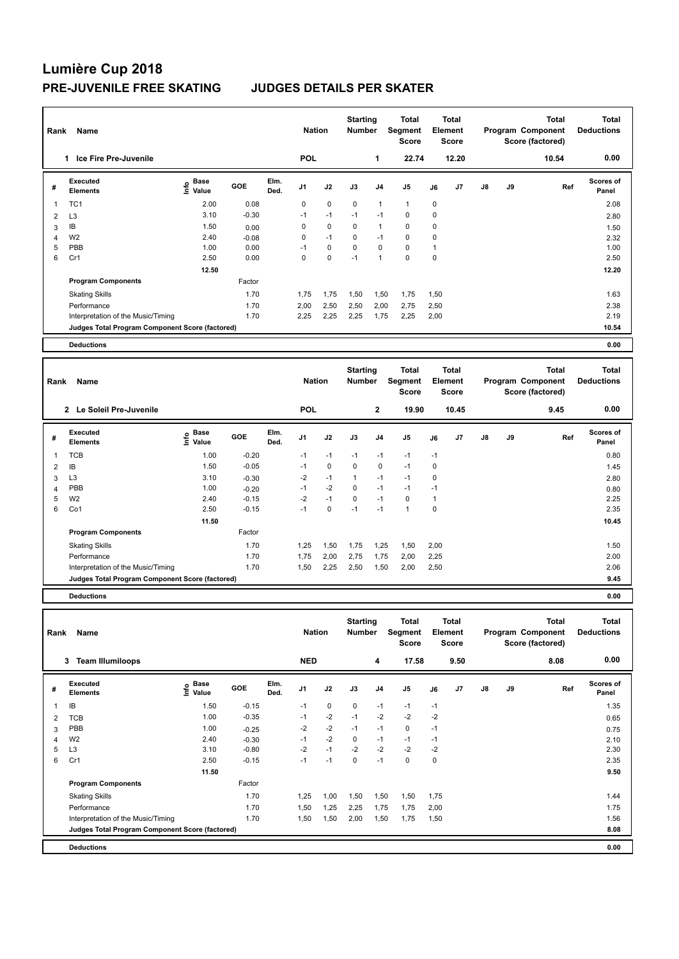## **Lumière Cup 2018 PRE-JUVENILE FREE SKATING JUDGES DETAILS PER SKATER**

| Rank           | Name                                            |                                  |         |              | <b>Starting</b><br><b>Nation</b><br><b>Number</b> |      | Total<br><b>Total</b><br>Segment<br>Element<br><b>Score</b><br><b>Score</b> |                |                                         | <b>Total</b><br>Program Component<br>Score (factored) |                                         |               | <b>Total</b><br><b>Deductions</b> |                                                              |                                   |
|----------------|-------------------------------------------------|----------------------------------|---------|--------------|---------------------------------------------------|------|-----------------------------------------------------------------------------|----------------|-----------------------------------------|-------------------------------------------------------|-----------------------------------------|---------------|-----------------------------------|--------------------------------------------------------------|-----------------------------------|
|                | Ice Fire Pre-Juvenile<br>1.                     |                                  |         |              | POL                                               |      |                                                                             | 1              | 22.74                                   |                                                       | 12.20                                   |               |                                   | 10.54                                                        | 0.00                              |
| #              | <b>Executed</b><br><b>Elements</b>              | <b>Base</b><br>e Base<br>⊆ Value | GOE     | Elm.<br>Ded. | J <sub>1</sub>                                    | J2   | J3                                                                          | J <sub>4</sub> | J <sub>5</sub>                          | J6                                                    | J <sub>7</sub>                          | $\mathsf{J}8$ | J9                                | Ref                                                          | Scores of<br>Panel                |
| 1              | TC <sub>1</sub>                                 | 2.00                             | 0.08    |              | 0                                                 | 0    | $\mathbf 0$                                                                 | 1              | $\mathbf{1}$                            | 0                                                     |                                         |               |                                   |                                                              | 2.08                              |
| $\overline{2}$ | L <sub>3</sub>                                  | 3.10                             | $-0.30$ |              | $-1$                                              | $-1$ | $-1$                                                                        | $-1$           | $\mathbf 0$                             | $\mathbf 0$                                           |                                         |               |                                   |                                                              | 2.80                              |
| 3              | IΒ                                              | 1.50                             | 0.00    |              | 0                                                 | 0    | 0                                                                           | 1              | $\mathbf 0$                             | $\mathbf 0$                                           |                                         |               |                                   |                                                              | 1.50                              |
| 4              | W <sub>2</sub>                                  | 2.40                             | $-0.08$ |              | 0                                                 | $-1$ | $\Omega$                                                                    | $-1$           | $\mathbf 0$                             | 0                                                     |                                         |               |                                   |                                                              | 2.32                              |
| 5              | PBB                                             | 1.00                             | 0.00    |              | $-1$                                              | 0    | 0                                                                           | 0              | $\mathbf 0$                             | 1                                                     |                                         |               |                                   |                                                              | 1.00                              |
| 6              | Cr1                                             | 2.50                             | 0.00    |              | $\Omega$                                          | 0    | $-1$                                                                        | 1              | $\mathbf 0$                             | $\mathbf 0$                                           |                                         |               |                                   |                                                              | 2.50                              |
|                |                                                 | 12.50                            |         |              |                                                   |      |                                                                             |                |                                         |                                                       |                                         |               |                                   |                                                              | 12.20                             |
|                | <b>Program Components</b>                       |                                  | Factor  |              |                                                   |      |                                                                             |                |                                         |                                                       |                                         |               |                                   |                                                              |                                   |
|                | <b>Skating Skills</b>                           |                                  | 1.70    |              | 1.75                                              | 1,75 | 1,50                                                                        | 1,50           | 1,75                                    | 1,50                                                  |                                         |               |                                   |                                                              | 1.63                              |
|                | Performance                                     |                                  | 1.70    |              | 2,00                                              | 2,50 | 2,50                                                                        | 2,00           | 2,75                                    | 2,50                                                  |                                         |               |                                   |                                                              | 2.38                              |
|                | Interpretation of the Music/Timing              |                                  | 1.70    |              | 2.25                                              | 2,25 | 2,25                                                                        | 1,75           | 2,25                                    | 2,00                                                  |                                         |               |                                   |                                                              | 2.19                              |
|                | Judges Total Program Component Score (factored) |                                  |         |              |                                                   |      |                                                                             |                |                                         |                                                       |                                         |               |                                   |                                                              | 10.54                             |
|                | <b>Deductions</b>                               |                                  |         |              |                                                   |      |                                                                             |                |                                         |                                                       |                                         |               |                                   |                                                              | 0.00                              |
|                |                                                 |                                  |         |              |                                                   |      |                                                                             |                |                                         |                                                       |                                         |               |                                   |                                                              |                                   |
| Rank           | Name                                            |                                  |         |              | <b>Nation</b>                                     |      | <b>Starting</b><br><b>Number</b>                                            |                | <b>Total</b><br>Segment<br><b>Score</b> |                                                       | <b>Total</b><br>Element<br><b>Score</b> |               |                                   | <b>Total</b><br><b>Program Component</b><br>Score (factored) | <b>Total</b><br><b>Deductions</b> |
|                | Le Soleil Pre-Juvenile<br>$\mathbf{2}$          |                                  |         |              | POL                                               |      |                                                                             | 2              | 19.90                                   |                                                       | 10.45                                   |               |                                   | 9.45                                                         | 0.00                              |

| # | Executed<br><b>Elements</b>                     | <b>Base</b><br>$\frac{e}{2}$ base<br>$\frac{e}{2}$ Value | GOE     | Elm.<br>Ded. | J <sub>1</sub> | J2   | J3   | J4   | J <sub>5</sub> | J6   | J7 | J8 | J9 | Ref | <b>Scores of</b><br>Panel |
|---|-------------------------------------------------|----------------------------------------------------------|---------|--------------|----------------|------|------|------|----------------|------|----|----|----|-----|---------------------------|
|   | <b>TCB</b>                                      | 1.00                                                     | $-0.20$ |              | $-1$           | $-1$ | $-1$ | $-1$ | $-1$           | $-1$ |    |    |    |     | 0.80                      |
| 2 | IB                                              | 1.50                                                     | $-0.05$ |              | $-1$           | 0    | 0    | 0    | $-1$           | 0    |    |    |    |     | 1.45                      |
| 3 | L <sub>3</sub>                                  | 3.10                                                     | $-0.30$ |              | $-2$           | $-1$ | 1    | $-1$ | $-1$           | 0    |    |    |    |     | 2.80                      |
| 4 | PBB                                             | 1.00                                                     | $-0.20$ |              | $-1$           | $-2$ | 0    | $-1$ | $-1$           | $-1$ |    |    |    |     | 0.80                      |
| 5 | W <sub>2</sub>                                  | 2.40                                                     | $-0.15$ |              | $-2$           | $-1$ | 0    | $-1$ | 0              | ٠    |    |    |    |     | 2.25                      |
| 6 | Co1                                             | 2.50                                                     | $-0.15$ |              | $-1$           | 0    | $-1$ | $-1$ | $\overline{ }$ | 0    |    |    |    |     | 2.35                      |
|   |                                                 | 11.50                                                    |         |              |                |      |      |      |                |      |    |    |    |     | 10.45                     |
|   | <b>Program Components</b>                       |                                                          | Factor  |              |                |      |      |      |                |      |    |    |    |     |                           |
|   | <b>Skating Skills</b>                           |                                                          | 1.70    |              | 1,25           | 1,50 | 1,75 | .25  | 1,50           | 2,00 |    |    |    |     | 1.50                      |
|   | Performance                                     |                                                          | 1.70    |              | 1.75           | 2,00 | 2,75 | .75  | 2,00           | 2,25 |    |    |    |     | 2.00                      |
|   | Interpretation of the Music/Timing              |                                                          | 1.70    |              | 1,50           | 2,25 | 2,50 | .50  | 2,00           | 2,50 |    |    |    |     | 2.06                      |
|   | Judges Total Program Component Score (factored) |                                                          |         |              |                |      |      |      |                |      |    |    |    |     | 9.45                      |

**Deductions 0.00**

| Name<br>Rank   |                                                 |                                    |            |              |                | <b>Nation</b> |             | <b>Starting</b><br><b>Number</b> | Total<br>Segment<br><b>Score</b> | <b>Total</b><br>Element<br><b>Score</b> |      | Program Component |    | Total<br>Score (factored) | <b>Total</b><br><b>Deductions</b> |
|----------------|-------------------------------------------------|------------------------------------|------------|--------------|----------------|---------------|-------------|----------------------------------|----------------------------------|-----------------------------------------|------|-------------------|----|---------------------------|-----------------------------------|
|                | <b>Team Illumiloops</b><br>3                    |                                    |            |              | <b>NED</b>     |               |             | 4                                | 17.58                            |                                         | 9.50 |                   |    | 8.08                      | 0.00                              |
| #              | Executed<br><b>Elements</b>                     | <b>Base</b><br>$\frac{6}{5}$ Value | <b>GOE</b> | Elm.<br>Ded. | J <sub>1</sub> | J2            | J3          | J <sub>4</sub>                   | J <sub>5</sub>                   | J6                                      | J7   | $\mathsf{J}8$     | J9 | Ref                       | <b>Scores of</b><br>Panel         |
|                | IB                                              | 1.50                               | $-0.15$    |              | $-1$           | $\mathbf 0$   | $\mathbf 0$ | $-1$                             | $-1$                             | $-1$                                    |      |                   |    |                           | 1.35                              |
| $\overline{2}$ | <b>TCB</b>                                      | 1.00                               | $-0.35$    |              | $-1$           | $-2$          | $-1$        | $-2$                             | $-2$                             | $-2$                                    |      |                   |    |                           | 0.65                              |
| 3              | PBB                                             | 1.00                               | $-0.25$    |              | $-2$           | $-2$          | $-1$        | $-1$                             | $\mathbf 0$                      | $-1$                                    |      |                   |    |                           | 0.75                              |
| 4              | W <sub>2</sub>                                  | 2.40                               | $-0.30$    |              | $-1$           | $-2$          | 0           | $-1$                             | $-1$                             | $-1$                                    |      |                   |    |                           | 2.10                              |
| 5              | L <sub>3</sub>                                  | 3.10                               | $-0.80$    |              | $-2$           | $-1$          | $-2$        | $-2$                             | $-2$                             | -2                                      |      |                   |    |                           | 2.30                              |
| 6              | Cr1                                             | 2.50                               | $-0.15$    |              | $-1$           | $-1$          | 0           | $-1$                             | $\mathbf 0$                      | 0                                       |      |                   |    |                           | 2.35                              |
|                |                                                 | 11.50                              |            |              |                |               |             |                                  |                                  |                                         |      |                   |    |                           | 9.50                              |
|                | <b>Program Components</b>                       |                                    | Factor     |              |                |               |             |                                  |                                  |                                         |      |                   |    |                           |                                   |
|                | <b>Skating Skills</b>                           |                                    | 1.70       |              | 1,25           | 1,00          | 1,50        | 1,50                             | 1,50                             | 1,75                                    |      |                   |    |                           | 1.44                              |
|                | Performance                                     |                                    | 1.70       |              | 1,50           | 1,25          | 2,25        | 1,75                             | 1,75                             | 2,00                                    |      |                   |    |                           | 1.75                              |
|                | Interpretation of the Music/Timing              |                                    | 1.70       |              | 1,50           | 1,50          | 2,00        | 1,50                             | 1,75                             | 1,50                                    |      |                   |    |                           | 1.56                              |
|                | Judges Total Program Component Score (factored) |                                    |            |              |                |               |             |                                  |                                  |                                         |      |                   |    |                           | 8.08                              |
|                | <b>Deductions</b>                               |                                    |            |              |                |               |             |                                  |                                  |                                         |      |                   |    |                           | 0.00                              |